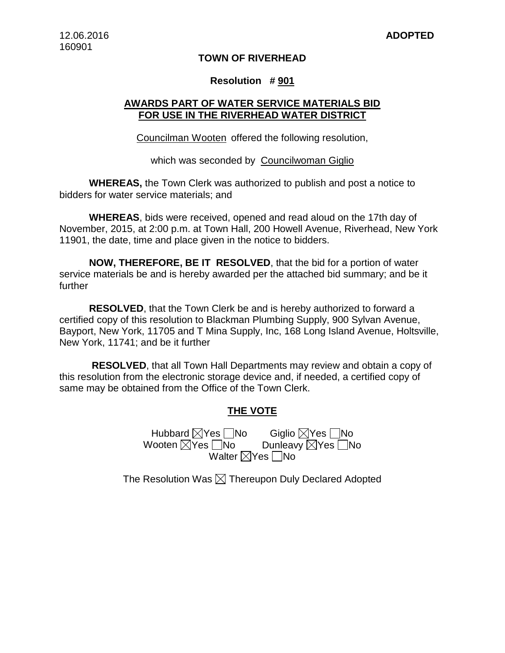### **TOWN OF RIVERHEAD**

#### **Resolution # 901**

# **AWARDS PART OF WATER SERVICE MATERIALS BID FOR USE IN THE RIVERHEAD WATER DISTRICT**

Councilman Wooten offered the following resolution,

which was seconded by Councilwoman Giglio

**WHEREAS,** the Town Clerk was authorized to publish and post a notice to bidders for water service materials; and

**WHEREAS**, bids were received, opened and read aloud on the 17th day of November, 2015, at 2:00 p.m. at Town Hall, 200 Howell Avenue, Riverhead, New York 11901, the date, time and place given in the notice to bidders.

**NOW, THEREFORE, BE IT RESOLVED**, that the bid for a portion of water service materials be and is hereby awarded per the attached bid summary; and be it further

**RESOLVED**, that the Town Clerk be and is hereby authorized to forward a certified copy of this resolution to Blackman Plumbing Supply, 900 Sylvan Avenue, Bayport, New York, 11705 and T Mina Supply, Inc, 168 Long Island Avenue, Holtsville, New York, 11741; and be it further

**RESOLVED**, that all Town Hall Departments may review and obtain a copy of this resolution from the electronic storage device and, if needed, a certified copy of same may be obtained from the Office of the Town Clerk.

## **THE VOTE**

Hubbard Yes No Giglio Yes No Wooten  $\boxtimes$ Yes  $\Box$ No Walter  $\boxtimes$ Yes  $\Box$ No

The Resolution Was  $\boxtimes$  Thereupon Duly Declared Adopted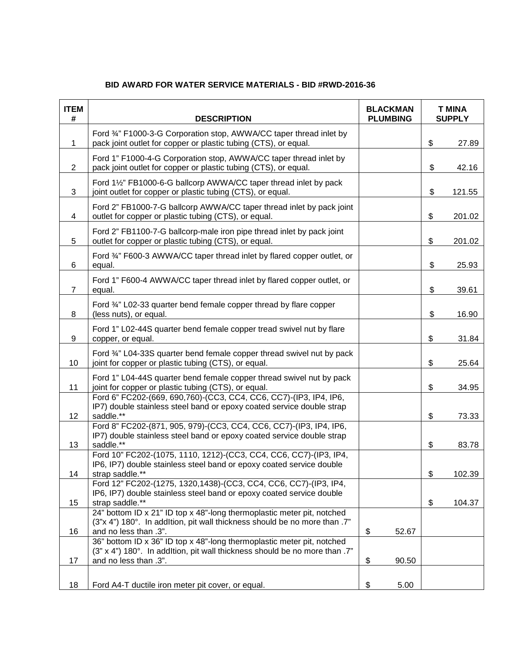| <b>ITEM</b><br># | <b>DESCRIPTION</b>                                                                                                                                                            | <b>BLACKMAN</b><br><b>PLUMBING</b> | <b>T MINA</b><br><b>SUPPLY</b> |        |
|------------------|-------------------------------------------------------------------------------------------------------------------------------------------------------------------------------|------------------------------------|--------------------------------|--------|
| $\mathbf 1$      | Ford 3/4" F1000-3-G Corporation stop, AWWA/CC taper thread inlet by<br>pack joint outlet for copper or plastic tubing (CTS), or equal.                                        |                                    | \$                             | 27.89  |
| 2                | Ford 1" F1000-4-G Corporation stop, AWWA/CC taper thread inlet by<br>pack joint outlet for copper or plastic tubing (CTS), or equal.                                          |                                    | \$                             | 42.16  |
| 3                | Ford 1½" FB1000-6-G ballcorp AWWA/CC taper thread inlet by pack<br>joint outlet for copper or plastic tubing (CTS), or equal.                                                 |                                    | \$                             | 121.55 |
| 4                | Ford 2" FB1000-7-G ballcorp AWWA/CC taper thread inlet by pack joint<br>outlet for copper or plastic tubing (CTS), or equal.                                                  |                                    | \$                             | 201.02 |
| 5                | Ford 2" FB1100-7-G ballcorp-male iron pipe thread inlet by pack joint<br>outlet for copper or plastic tubing (CTS), or equal.                                                 |                                    | \$                             | 201.02 |
| 6                | Ford 3/4" F600-3 AWWA/CC taper thread inlet by flared copper outlet, or<br>equal.                                                                                             |                                    | \$                             | 25.93  |
| $\overline{7}$   | Ford 1" F600-4 AWWA/CC taper thread inlet by flared copper outlet, or<br>equal.                                                                                               |                                    | \$                             | 39.61  |
| 8                | Ford 3/4" L02-33 quarter bend female copper thread by flare copper<br>(less nuts), or equal.                                                                                  |                                    | \$                             | 16.90  |
| 9                | Ford 1" L02-44S quarter bend female copper tread swivel nut by flare<br>copper, or equal.                                                                                     |                                    | \$                             | 31.84  |
| 10               | Ford 3/4" L04-33S quarter bend female copper thread swivel nut by pack<br>joint for copper or plastic tubing (CTS), or equal.                                                 |                                    | \$                             | 25.64  |
| 11               | Ford 1" L04-44S quarter bend female copper thread swivel nut by pack<br>joint for copper or plastic tubing (CTS), or equal.                                                   |                                    | \$                             | 34.95  |
| 12               | Ford 6" FC202-(669, 690, 760)-(CC3, CC4, CC6, CC7)-(IP3, IP4, IP6,<br>IP7) double stainless steel band or epoxy coated service double strap<br>saddle.**                      |                                    | \$                             | 73.33  |
|                  | Ford 8" FC202-(871, 905, 979)-(CC3, CC4, CC6, CC7)-(IP3, IP4, IP6,<br>IP7) double stainless steel band or epoxy coated service double strap                                   |                                    |                                |        |
| 13               | saddle.**<br>Ford 10" FC202-(1075, 1110, 1212)-(CC3, CC4, CC6, CC7)-(IP3, IP4,<br>IP6, IP7) double stainless steel band or epoxy coated service double                        |                                    | \$                             | 83.78  |
| 14               | strap saddle.**                                                                                                                                                               |                                    | \$                             | 102.39 |
| 15               | Ford 12" FC202-(1275, 1320, 1438)-(CC3, CC4, CC6, CC7)-(IP3, IP4,<br>IP6, IP7) double stainless steel band or epoxy coated service double<br>strap saddle.**                  |                                    | \$                             | 104.37 |
|                  | 24" bottom ID x 21" ID top x 48"-long thermoplastic meter pit, notched<br>(3"x 4") 180°. In addition, pit wall thickness should be no more than .7"                           |                                    |                                |        |
| 16               | and no less than .3".<br>36" bottom ID x 36" ID top x 48"-long thermoplastic meter pit, notched<br>(3" x 4") 180°. In addItion, pit wall thickness should be no more than .7" | \$<br>52.67                        |                                |        |
| 17               | and no less than .3".                                                                                                                                                         | \$<br>90.50                        |                                |        |
| 18               | Ford A4-T ductile iron meter pit cover, or equal.                                                                                                                             | \$<br>5.00                         |                                |        |

# **BID AWARD FOR WATER SERVICE MATERIALS - BID #RWD-2016-36**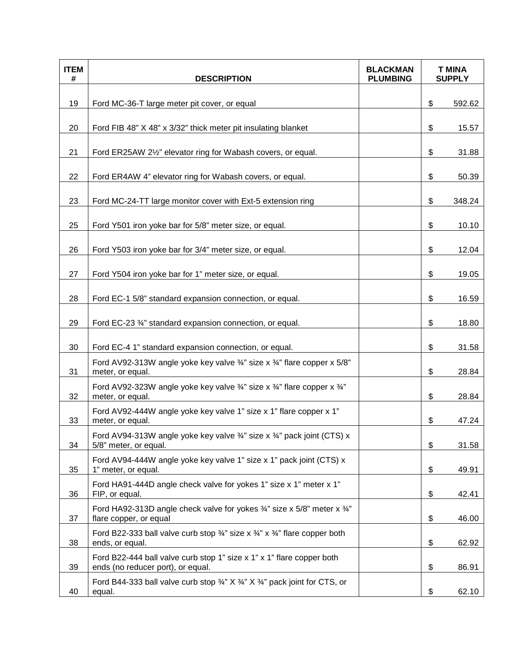| <b>ITEM</b><br># | <b>DESCRIPTION</b>                                                                                                              | <b>BLACKMAN</b><br><b>PLUMBING</b> | <b>T MINA</b><br><b>SUPPLY</b> |        |
|------------------|---------------------------------------------------------------------------------------------------------------------------------|------------------------------------|--------------------------------|--------|
| 19               | Ford MC-36-T large meter pit cover, or equal                                                                                    |                                    | \$                             | 592.62 |
| 20               | Ford FIB 48" X 48" x 3/32" thick meter pit insulating blanket                                                                   |                                    | \$                             | 15.57  |
| 21               | Ford ER25AW 21/2" elevator ring for Wabash covers, or equal.                                                                    |                                    | \$                             | 31.88  |
| 22               | Ford ER4AW 4" elevator ring for Wabash covers, or equal.                                                                        |                                    | \$                             | 50.39  |
| 23               | Ford MC-24-TT large monitor cover with Ext-5 extension ring                                                                     |                                    | \$                             | 348.24 |
| 25               | Ford Y501 iron yoke bar for 5/8" meter size, or equal.                                                                          |                                    | \$                             | 10.10  |
| 26               | Ford Y503 iron yoke bar for 3/4" meter size, or equal.                                                                          |                                    | \$                             | 12.04  |
| 27               | Ford Y504 iron yoke bar for 1" meter size, or equal.                                                                            |                                    | \$                             | 19.05  |
| 28               | Ford EC-1 5/8" standard expansion connection, or equal.                                                                         |                                    | \$                             | 16.59  |
| 29               | Ford EC-23 3/4" standard expansion connection, or equal.                                                                        |                                    | \$                             | 18.80  |
| 30               | Ford EC-4 1" standard expansion connection, or equal.                                                                           |                                    | \$                             | 31.58  |
| 31               | Ford AV92-313W angle yoke key valve $\frac{3}{4}$ " size x $\frac{3}{4}$ " flare copper x 5/8"<br>meter, or equal.              |                                    | \$                             | 28.84  |
| 32               | Ford AV92-323W angle yoke key valve $\frac{3}{4}$ " size x $\frac{3}{4}$ " flare copper x $\frac{3}{4}$ "<br>meter, or equal.   |                                    | \$                             | 28.84  |
| 33               | Ford AV92-444W angle yoke key valve 1" size x 1" flare copper x 1"<br>meter, or equal.                                          |                                    | \$                             | 47.24  |
| 34               | Ford AV94-313W angle yoke key valve 3/4" size x 3/4" pack joint (CTS) x<br>5/8" meter, or equal.                                |                                    | \$                             | 31.58  |
| 35               | Ford AV94-444W angle yoke key valve 1" size x 1" pack joint (CTS) x<br>1" meter, or equal.                                      |                                    | \$                             | 49.91  |
| 36               | Ford HA91-444D angle check valve for yokes 1" size x 1" meter x 1"<br>FIP, or equal.                                            |                                    | \$                             | 42.41  |
| 37               | Ford HA92-313D angle check valve for yokes $\frac{3}{4}$ " size x 5/8" meter x $\frac{3}{4}$ "<br>flare copper, or equal        |                                    | \$                             | 46.00  |
| 38               | Ford B22-333 ball valve curb stop $\frac{3}{4}$ " size x $\frac{3}{4}$ " x $\frac{3}{4}$ " flare copper both<br>ends, or equal. |                                    | \$                             | 62.92  |
| 39               | Ford B22-444 ball valve curb stop 1" size x 1" x 1" flare copper both<br>ends (no reducer port), or equal.                      |                                    | \$                             | 86.91  |
| 40               | Ford B44-333 ball valve curb stop 3/4" X 3/4" X 3/4" pack joint for CTS, or<br>equal.                                           |                                    | \$                             | 62.10  |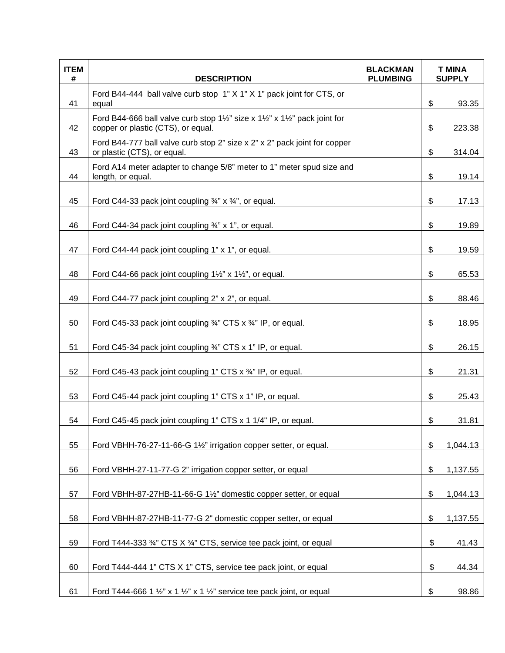| <b>ITEM</b><br># | <b>DESCRIPTION</b>                                                                                                                                 | <b>BLACKMAN</b><br><b>PLUMBING</b> | <b>T MINA</b><br><b>SUPPLY</b> |          |
|------------------|----------------------------------------------------------------------------------------------------------------------------------------------------|------------------------------------|--------------------------------|----------|
| 41               | Ford B44-444 ball valve curb stop 1" X 1" X 1" pack joint for CTS, or<br>equal                                                                     |                                    | \$                             | 93.35    |
| 42               | Ford B44-666 ball valve curb stop $1\frac{1}{2}$ " size x $1\frac{1}{2}$ " x $1\frac{1}{2}$ " pack joint for<br>copper or plastic (CTS), or equal. |                                    | \$                             | 223.38   |
| 43               | Ford B44-777 ball valve curb stop 2" size x 2" x 2" pack joint for copper<br>or plastic (CTS), or equal.                                           |                                    | \$                             | 314.04   |
| 44               | Ford A14 meter adapter to change 5/8" meter to 1" meter spud size and<br>length, or equal.                                                         |                                    | \$                             | 19.14    |
| 45               | Ford C44-33 pack joint coupling $\frac{3}{4}$ " x $\frac{3}{4}$ ", or equal.                                                                       |                                    | \$                             | 17.13    |
| 46               | Ford C44-34 pack joint coupling 3/4" x 1", or equal.                                                                                               |                                    | \$                             | 19.89    |
| 47               | Ford C44-44 pack joint coupling 1" x 1", or equal.                                                                                                 |                                    | \$                             | 19.59    |
| 48               | Ford C44-66 pack joint coupling 1½" x 1½", or equal.                                                                                               |                                    | \$                             | 65.53    |
| 49               | Ford C44-77 pack joint coupling 2" x 2", or equal.                                                                                                 |                                    | \$                             | 88.46    |
| 50               | Ford C45-33 pack joint coupling 3/4" CTS x 3/4" IP, or equal.                                                                                      |                                    | \$                             | 18.95    |
| 51               | Ford C45-34 pack joint coupling 3/4" CTS x 1" IP, or equal.                                                                                        |                                    | \$                             | 26.15    |
| 52               | Ford C45-43 pack joint coupling 1" CTS x 3/4" IP, or equal.                                                                                        |                                    | \$                             | 21.31    |
| 53               | Ford C45-44 pack joint coupling 1" CTS x 1" IP, or equal.                                                                                          |                                    | \$                             | 25.43    |
| 54               | Ford C45-45 pack joint coupling 1" CTS x 1 1/4" IP, or equal.                                                                                      |                                    | \$                             | 31.81    |
| 55               | Ford VBHH-76-27-11-66-G 11/2" irrigation copper setter, or equal.                                                                                  |                                    | \$                             | 1,044.13 |
| 56               | Ford VBHH-27-11-77-G 2" irrigation copper setter, or equal                                                                                         |                                    | \$                             | 1,137.55 |
| 57               | Ford VBHH-87-27HB-11-66-G 1½" domestic copper setter, or equal                                                                                     |                                    | \$                             | 1,044.13 |
| 58               | Ford VBHH-87-27HB-11-77-G 2" domestic copper setter, or equal                                                                                      |                                    | \$                             | 1,137.55 |
| 59               | Ford T444-333 3/4" CTS X 3/4" CTS, service tee pack joint, or equal                                                                                |                                    | \$                             | 41.43    |
| 60               | Ford T444-444 1" CTS X 1" CTS, service tee pack joint, or equal                                                                                    |                                    | \$                             | 44.34    |
| 61               | Ford T444-666 1 $\frac{1}{2}$ " x 1 $\frac{1}{2}$ " x 1 $\frac{1}{2}$ " service tee pack joint, or equal                                           |                                    | \$                             | 98.86    |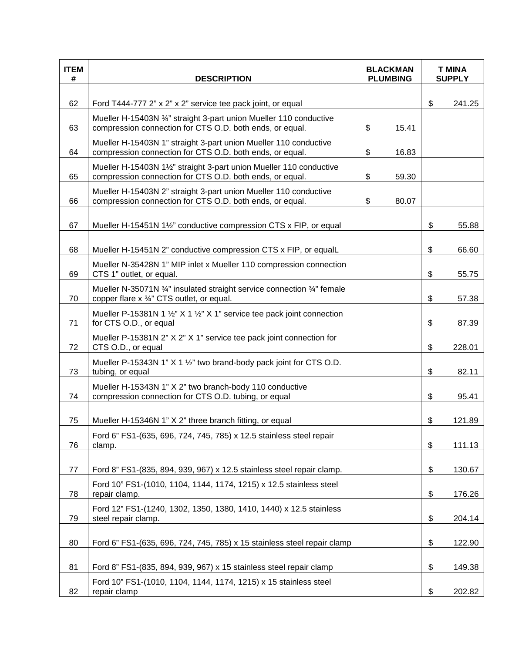| <b>ITEM</b><br># | <b>DESCRIPTION</b>                                                                                                                | <b>BLACKMAN</b><br><b>PLUMBING</b> |       | <b>T MINA</b><br><b>SUPPLY</b> |        |
|------------------|-----------------------------------------------------------------------------------------------------------------------------------|------------------------------------|-------|--------------------------------|--------|
|                  |                                                                                                                                   |                                    |       |                                |        |
| 62               | Ford T444-777 2" x 2" x 2" service tee pack joint, or equal<br>Mueller H-15403N 3/4" straight 3-part union Mueller 110 conductive |                                    |       | \$                             | 241.25 |
| 63               | compression connection for CTS O.D. both ends, or equal.                                                                          | \$                                 | 15.41 |                                |        |
| 64               | Mueller H-15403N 1" straight 3-part union Mueller 110 conductive<br>compression connection for CTS O.D. both ends, or equal.      | $\boldsymbol{\mathsf{S}}$          | 16.83 |                                |        |
| 65               | Mueller H-15403N 1½" straight 3-part union Mueller 110 conductive<br>compression connection for CTS O.D. both ends, or equal.     | \$                                 | 59.30 |                                |        |
| 66               | Mueller H-15403N 2" straight 3-part union Mueller 110 conductive<br>compression connection for CTS O.D. both ends, or equal.      | \$                                 | 80.07 |                                |        |
| 67               | Mueller H-15451N 1½" conductive compression CTS x FIP, or equal                                                                   |                                    |       | \$                             | 55.88  |
| 68               | Mueller H-15451N 2" conductive compression CTS x FIP, or equalL                                                                   |                                    |       | \$                             | 66.60  |
| 69               | Mueller N-35428N 1" MIP inlet x Mueller 110 compression connection<br>CTS 1" outlet, or equal.                                    |                                    |       | \$                             | 55.75  |
| 70               | Mueller N-35071N 3/4" insulated straight service connection 3/4" female<br>copper flare x 3/4" CTS outlet, or equal.              |                                    |       | \$                             | 57.38  |
| 71               | Mueller P-15381N 1 $\frac{1}{2}$ " X 1 $\frac{1}{2}$ " X 1" service tee pack joint connection<br>for CTS O.D., or equal           |                                    |       | \$                             | 87.39  |
| 72               | Mueller P-15381N 2" X 2" X 1" service tee pack joint connection for<br>CTS O.D., or equal                                         |                                    |       | \$                             | 228.01 |
| 73               | Mueller P-15343N 1" X 1 1/2" two brand-body pack joint for CTS O.D.<br>tubing, or equal                                           |                                    |       | \$                             | 82.11  |
| 74               | Mueller H-15343N 1" X 2" two branch-body 110 conductive<br>compression connection for CTS O.D. tubing, or equal                   |                                    |       | \$                             | 95.41  |
| 75               | Mueller H-15346N 1" X 2" three branch fitting, or equal                                                                           |                                    |       | \$                             | 121.89 |
| 76               | Ford 6" FS1-(635, 696, 724, 745, 785) x 12.5 stainless steel repair<br>clamp.                                                     |                                    |       | \$                             | 111.13 |
| 77               | Ford 8" FS1-(835, 894, 939, 967) x 12.5 stainless steel repair clamp.                                                             |                                    |       | \$                             | 130.67 |
| 78               | Ford 10" FS1-(1010, 1104, 1144, 1174, 1215) x 12.5 stainless steel<br>repair clamp.                                               |                                    |       | \$                             | 176.26 |
| 79               | Ford 12" FS1-(1240, 1302, 1350, 1380, 1410, 1440) x 12.5 stainless<br>steel repair clamp.                                         |                                    |       | \$                             | 204.14 |
| 80               | Ford 6" FS1-(635, 696, 724, 745, 785) x 15 stainless steel repair clamp                                                           |                                    |       | \$                             | 122.90 |
| 81               | Ford 8" FS1-(835, 894, 939, 967) x 15 stainless steel repair clamp                                                                |                                    |       | \$                             | 149.38 |
| 82               | Ford 10" FS1-(1010, 1104, 1144, 1174, 1215) x 15 stainless steel<br>repair clamp                                                  |                                    |       | \$                             | 202.82 |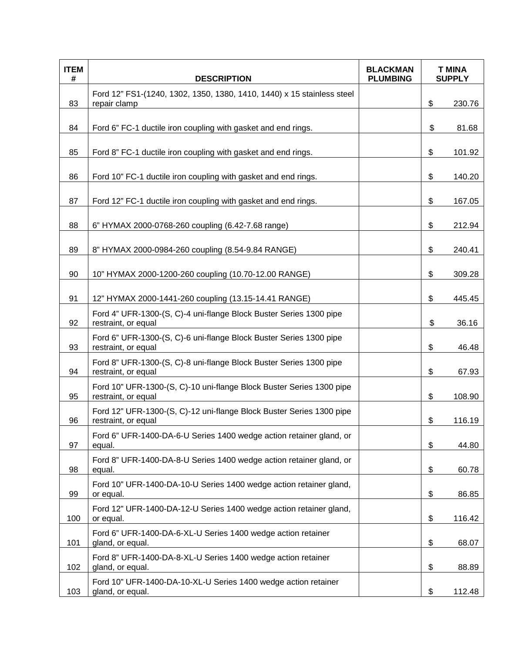| <b>ITEM</b><br># | <b>DESCRIPTION</b>                                                                          | <b>BLACKMAN</b><br><b>PLUMBING</b> | <b>T MINA</b><br><b>SUPPLY</b> |        |
|------------------|---------------------------------------------------------------------------------------------|------------------------------------|--------------------------------|--------|
| 83               | Ford 12" FS1-(1240, 1302, 1350, 1380, 1410, 1440) x 15 stainless steel<br>repair clamp      |                                    | \$                             | 230.76 |
| 84               | Ford 6" FC-1 ductile iron coupling with gasket and end rings.                               |                                    | \$                             | 81.68  |
| 85               | Ford 8" FC-1 ductile iron coupling with gasket and end rings.                               |                                    | \$                             | 101.92 |
| 86               | Ford 10" FC-1 ductile iron coupling with gasket and end rings.                              |                                    | \$                             | 140.20 |
| 87               | Ford 12" FC-1 ductile iron coupling with gasket and end rings.                              |                                    | \$                             | 167.05 |
| 88               | 6" HYMAX 2000-0768-260 coupling (6.42-7.68 range)                                           |                                    | \$                             | 212.94 |
| 89               | 8" HYMAX 2000-0984-260 coupling (8.54-9.84 RANGE)                                           |                                    | \$                             | 240.41 |
| 90               | 10" HYMAX 2000-1200-260 coupling (10.70-12.00 RANGE)                                        |                                    | \$                             | 309.28 |
| 91               | 12" HYMAX 2000-1441-260 coupling (13.15-14.41 RANGE)                                        |                                    | \$                             | 445.45 |
| 92               | Ford 4" UFR-1300-(S, C)-4 uni-flange Block Buster Series 1300 pipe<br>restraint, or equal   |                                    | \$                             | 36.16  |
| 93               | Ford 6" UFR-1300-(S, C)-6 uni-flange Block Buster Series 1300 pipe<br>restraint, or equal   |                                    | \$                             | 46.48  |
| 94               | Ford 8" UFR-1300-(S, C)-8 uni-flange Block Buster Series 1300 pipe<br>restraint, or equal   |                                    | \$                             | 67.93  |
| 95               | Ford 10" UFR-1300-(S, C)-10 uni-flange Block Buster Series 1300 pipe<br>restraint, or equal |                                    | \$                             | 108.90 |
| 96               | Ford 12" UFR-1300-(S, C)-12 uni-flange Block Buster Series 1300 pipe<br>restraint, or equal |                                    | \$                             | 116.19 |
| 97               | Ford 6" UFR-1400-DA-6-U Series 1400 wedge action retainer gland, or<br>equal.               |                                    | \$                             | 44.80  |
| 98               | Ford 8" UFR-1400-DA-8-U Series 1400 wedge action retainer gland, or<br>equal.               |                                    | \$                             | 60.78  |
| 99               | Ford 10" UFR-1400-DA-10-U Series 1400 wedge action retainer gland,<br>or equal.             |                                    | \$                             | 86.85  |
| 100              | Ford 12" UFR-1400-DA-12-U Series 1400 wedge action retainer gland,<br>or equal.             |                                    | \$                             | 116.42 |
| 101              | Ford 6" UFR-1400-DA-6-XL-U Series 1400 wedge action retainer<br>gland, or equal.            |                                    | \$                             | 68.07  |
| 102              | Ford 8" UFR-1400-DA-8-XL-U Series 1400 wedge action retainer<br>gland, or equal.            |                                    | \$                             | 88.89  |
| 103              | Ford 10" UFR-1400-DA-10-XL-U Series 1400 wedge action retainer<br>gland, or equal.          |                                    | \$                             | 112.48 |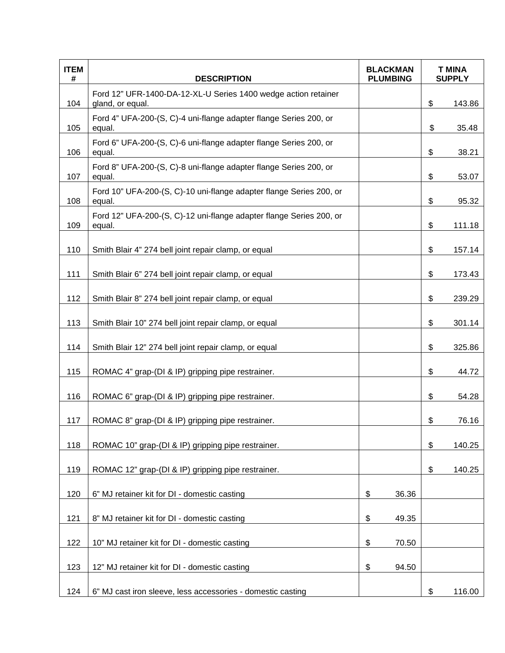| <b>ITEM</b><br># | <b>DESCRIPTION</b>                                                                 | <b>BLACKMAN</b><br><b>PLUMBING</b> | <b>T MINA</b><br><b>SUPPLY</b> |        |
|------------------|------------------------------------------------------------------------------------|------------------------------------|--------------------------------|--------|
| 104              | Ford 12" UFR-1400-DA-12-XL-U Series 1400 wedge action retainer<br>gland, or equal. |                                    | \$                             | 143.86 |
| 105              | Ford 4" UFA-200-(S, C)-4 uni-flange adapter flange Series 200, or<br>equal.        |                                    | \$                             | 35.48  |
| 106              | Ford 6" UFA-200-(S, C)-6 uni-flange adapter flange Series 200, or<br>equal.        |                                    | \$                             | 38.21  |
| 107              | Ford 8" UFA-200-(S, C)-8 uni-flange adapter flange Series 200, or<br>equal.        |                                    | \$                             | 53.07  |
| 108              | Ford 10" UFA-200-(S, C)-10 uni-flange adapter flange Series 200, or<br>equal.      |                                    | \$                             | 95.32  |
| 109              | Ford 12" UFA-200-(S, C)-12 uni-flange adapter flange Series 200, or<br>equal.      |                                    | \$                             | 111.18 |
| 110              | Smith Blair 4" 274 bell joint repair clamp, or equal                               |                                    | \$                             | 157.14 |
| 111              | Smith Blair 6" 274 bell joint repair clamp, or equal                               |                                    | \$                             | 173.43 |
| 112              | Smith Blair 8" 274 bell joint repair clamp, or equal                               |                                    | \$                             | 239.29 |
| 113              | Smith Blair 10" 274 bell joint repair clamp, or equal                              |                                    | \$                             | 301.14 |
| 114              | Smith Blair 12" 274 bell joint repair clamp, or equal                              |                                    | \$                             | 325.86 |
| 115              | ROMAC 4" grap-(DI & IP) gripping pipe restrainer.                                  |                                    | \$                             | 44.72  |
| 116              | ROMAC 6" grap-(DI & IP) gripping pipe restrainer.                                  |                                    | \$                             | 54.28  |
| 117              | ROMAC 8" grap-(DI & IP) gripping pipe restrainer.                                  |                                    | \$                             | 76.16  |
| 118              | ROMAC 10" grap-(DI & IP) gripping pipe restrainer.                                 |                                    | \$                             | 140.25 |
| 119              | ROMAC 12" grap-(DI & IP) gripping pipe restrainer.                                 |                                    | \$                             | 140.25 |
| 120              | 6" MJ retainer kit for DI - domestic casting                                       | \$<br>36.36                        |                                |        |
| 121              | 8" MJ retainer kit for DI - domestic casting                                       | \$<br>49.35                        |                                |        |
| 122              | 10" MJ retainer kit for DI - domestic casting                                      | \$<br>70.50                        |                                |        |
| 123              | 12" MJ retainer kit for DI - domestic casting                                      | \$<br>94.50                        |                                |        |
| 124              | 6" MJ cast iron sleeve, less accessories - domestic casting                        |                                    | \$                             | 116.00 |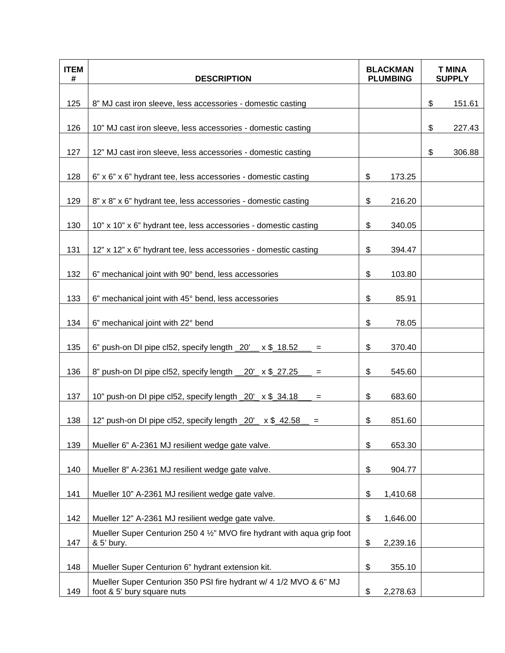| <b>ITEM</b><br># | <b>DESCRIPTION</b>                                                                              | <b>BLACKMAN</b><br><b>PLUMBING</b> |          | <b>T MINA</b><br><b>SUPPLY</b> |        |
|------------------|-------------------------------------------------------------------------------------------------|------------------------------------|----------|--------------------------------|--------|
| 125              | 8" MJ cast iron sleeve, less accessories - domestic casting                                     |                                    |          | \$                             | 151.61 |
| 126              | 10" MJ cast iron sleeve, less accessories - domestic casting                                    |                                    |          | \$                             | 227.43 |
| 127              | 12" MJ cast iron sleeve, less accessories - domestic casting                                    |                                    |          | \$                             | 306.88 |
| 128              | 6" x 6" x 6" hydrant tee, less accessories - domestic casting                                   | \$                                 | 173.25   |                                |        |
| 129              | 8" x 8" x 6" hydrant tee, less accessories - domestic casting                                   | \$                                 | 216.20   |                                |        |
| 130              | 10" x 10" x 6" hydrant tee, less accessories - domestic casting                                 | \$                                 | 340.05   |                                |        |
| 131              | 12" x 12" x 6" hydrant tee, less accessories - domestic casting                                 | \$                                 | 394.47   |                                |        |
| 132              | 6" mechanical joint with 90° bend, less accessories                                             | \$                                 | 103.80   |                                |        |
| 133              | 6" mechanical joint with 45° bend, less accessories                                             | \$                                 | 85.91    |                                |        |
| 134              | 6" mechanical joint with 22° bend                                                               | \$                                 | 78.05    |                                |        |
| 135              | 6" push-on DI pipe cl52, specify length _20'__ x \$_18.52<br>$=$                                | \$                                 | 370.40   |                                |        |
| 136              | 8" push-on DI pipe cl52, specify length __20'_ x \$_27.25<br>$=$                                | \$                                 | 545.60   |                                |        |
| 137              | 10" push-on DI pipe cl52, specify length _20'_ x \$_34.18<br>$=$                                | \$                                 | 683.60   |                                |        |
| 138              | 12" push-on DI pipe cl52, specify length _20' x \$_42.58<br>$=$                                 | \$                                 | 851.60   |                                |        |
| 139              | Mueller 6" A-2361 MJ resilient wedge gate valve.                                                | \$                                 | 653.30   |                                |        |
| 140              | Mueller 8" A-2361 MJ resilient wedge gate valve.                                                | \$                                 | 904.77   |                                |        |
| 141              | Mueller 10" A-2361 MJ resilient wedge gate valve.                                               | \$                                 | 1,410.68 |                                |        |
| 142              | Mueller 12" A-2361 MJ resilient wedge gate valve.                                               | \$                                 | 1,646.00 |                                |        |
| 147              | Mueller Super Centurion 250 4 1/2" MVO fire hydrant with agua grip foot<br>& 5' bury.           | \$                                 | 2,239.16 |                                |        |
| 148              | Mueller Super Centurion 6" hydrant extension kit.                                               | \$                                 | 355.10   |                                |        |
| 149              | Mueller Super Centurion 350 PSI fire hydrant w/ 4 1/2 MVO & 6" MJ<br>foot & 5' bury square nuts | \$                                 | 2,278.63 |                                |        |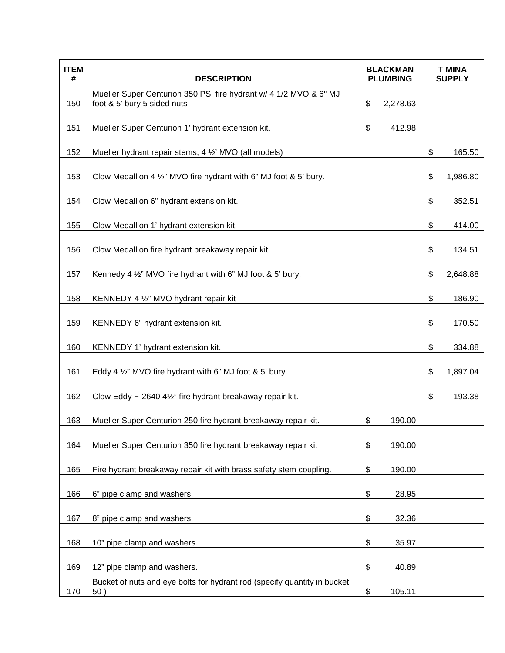| <b>ITEM</b><br># | <b>DESCRIPTION</b>                                                                               | <b>BLACKMAN</b><br><b>PLUMBING</b>        |          | <b>T MINA</b><br><b>SUPPLY</b> |          |
|------------------|--------------------------------------------------------------------------------------------------|-------------------------------------------|----------|--------------------------------|----------|
| 150              | Mueller Super Centurion 350 PSI fire hydrant w/ 4 1/2 MVO & 6" MJ<br>foot & 5' bury 5 sided nuts | \$                                        | 2,278.63 |                                |          |
| 151              | Mueller Super Centurion 1' hydrant extension kit.                                                | $\boldsymbol{\mathsf{S}}$                 | 412.98   |                                |          |
| 152              | Mueller hydrant repair stems, 4 1/2' MVO (all models)                                            |                                           |          | \$                             | 165.50   |
| 153              | Clow Medallion 4 $\frac{1}{2}$ " MVO fire hydrant with 6" MJ foot & 5' bury.                     |                                           |          | \$                             | 1,986.80 |
| 154              | Clow Medallion 6" hydrant extension kit.                                                         |                                           |          | \$                             | 352.51   |
| 155              | Clow Medallion 1' hydrant extension kit.                                                         |                                           |          | \$                             | 414.00   |
| 156              | Clow Medallion fire hydrant breakaway repair kit.                                                |                                           |          | \$                             | 134.51   |
| 157              | Kennedy 4 1/2" MVO fire hydrant with 6" MJ foot & 5' bury.                                       |                                           |          | \$                             | 2,648.88 |
| 158              | KENNEDY 4 1/2" MVO hydrant repair kit                                                            |                                           |          | \$                             | 186.90   |
| 159              | KENNEDY 6" hydrant extension kit.                                                                |                                           |          | \$                             | 170.50   |
| 160              | KENNEDY 1' hydrant extension kit.                                                                |                                           |          | \$                             | 334.88   |
| 161              | Eddy 4 $\frac{1}{2}$ " MVO fire hydrant with 6" MJ foot & 5' bury.                               |                                           |          | \$                             | 1,897.04 |
| 162              | Clow Eddy F-2640 41/2" fire hydrant breakaway repair kit.                                        |                                           |          | \$                             | 193.38   |
| 163              | Mueller Super Centurion 250 fire hydrant breakaway repair kit.                                   | \$                                        | 190.00   |                                |          |
| 164              | Mueller Super Centurion 350 fire hydrant breakaway repair kit                                    | \$                                        | 190.00   |                                |          |
| 165              | Fire hydrant breakaway repair kit with brass safety stem coupling.                               | \$                                        | 190.00   |                                |          |
| 166              | 6" pipe clamp and washers.                                                                       | \$                                        | 28.95    |                                |          |
| 167              | 8" pipe clamp and washers.                                                                       | \$                                        | 32.36    |                                |          |
| 168              | 10" pipe clamp and washers.                                                                      | $\, \, \raisebox{12pt}{$\scriptstyle \$}$ | 35.97    |                                |          |
| 169              | 12" pipe clamp and washers.                                                                      | \$                                        | 40.89    |                                |          |
| 170              | Bucket of nuts and eye bolts for hydrant rod (specify quantity in bucket<br>50)                  | \$                                        | 105.11   |                                |          |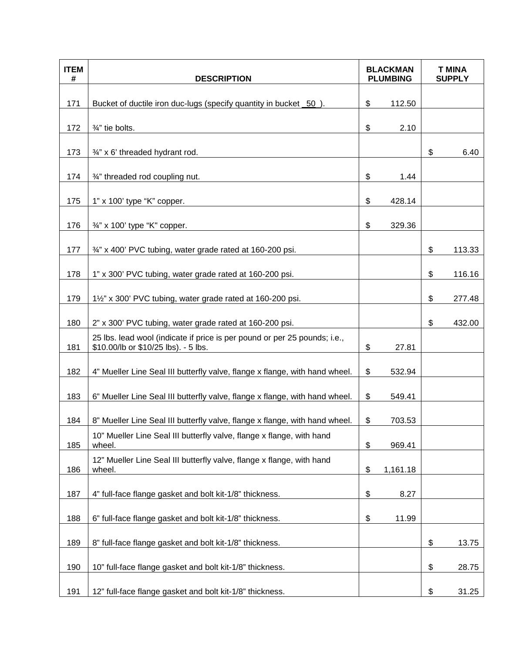| <b>ITEM</b><br># | <b>DESCRIPTION</b>                                                                                                | <b>BLACKMAN</b><br><b>PLUMBING</b> |          | <b>T MINA</b><br><b>SUPPLY</b> |
|------------------|-------------------------------------------------------------------------------------------------------------------|------------------------------------|----------|--------------------------------|
| 171              | Bucket of ductile iron duc-lugs (specify quantity in bucket 50).                                                  | \$                                 | 112.50   |                                |
| 172              | 3/4" tie bolts.                                                                                                   | \$                                 | 2.10     |                                |
| 173              | 3/4" x 6' threaded hydrant rod.                                                                                   |                                    |          | \$<br>6.40                     |
| 174              | 3/4" threaded rod coupling nut.                                                                                   | \$                                 | 1.44     |                                |
| 175              | 1" x 100' type "K" copper.                                                                                        | \$                                 | 428.14   |                                |
| 176              | 3/4" x 100' type "K" copper.                                                                                      | \$                                 | 329.36   |                                |
| 177              | 3/4" x 400' PVC tubing, water grade rated at 160-200 psi.                                                         |                                    |          | \$<br>113.33                   |
| 178              | 1" x 300' PVC tubing, water grade rated at 160-200 psi.                                                           |                                    |          | \$<br>116.16                   |
| 179              | 11/2" x 300' PVC tubing, water grade rated at 160-200 psi.                                                        |                                    |          | \$<br>277.48                   |
| 180              | 2" x 300' PVC tubing, water grade rated at 160-200 psi.                                                           |                                    |          | \$<br>432.00                   |
| 181              | 25 lbs. lead wool (indicate if price is per pound or per 25 pounds; i.e.,<br>\$10.00/lb or \$10/25 lbs). - 5 lbs. | \$                                 | 27.81    |                                |
| 182              | 4" Mueller Line Seal III butterfly valve, flange x flange, with hand wheel.                                       | \$                                 | 532.94   |                                |
| 183              | 6" Mueller Line Seal III butterfly valve, flange x flange, with hand wheel.                                       | \$                                 | 549.41   |                                |
| 184              | 8" Mueller Line Seal III butterfly valve, flange x flange, with hand wheel.                                       | \$                                 | 703.53   |                                |
| 185              | 10" Mueller Line Seal III butterfly valve, flange x flange, with hand<br>wheel.                                   | \$                                 | 969.41   |                                |
| 186              | 12" Mueller Line Seal III butterfly valve, flange x flange, with hand<br>wheel.                                   | \$                                 | 1,161.18 |                                |
| 187              | 4" full-face flange gasket and bolt kit-1/8" thickness.                                                           | \$                                 | 8.27     |                                |
| 188              | 6" full-face flange gasket and bolt kit-1/8" thickness.                                                           | \$                                 | 11.99    |                                |
| 189              | 8" full-face flange gasket and bolt kit-1/8" thickness.                                                           |                                    |          | \$<br>13.75                    |
| 190              | 10" full-face flange gasket and bolt kit-1/8" thickness.                                                          |                                    |          | \$<br>28.75                    |
| 191              | 12" full-face flange gasket and bolt kit-1/8" thickness.                                                          |                                    |          | \$<br>31.25                    |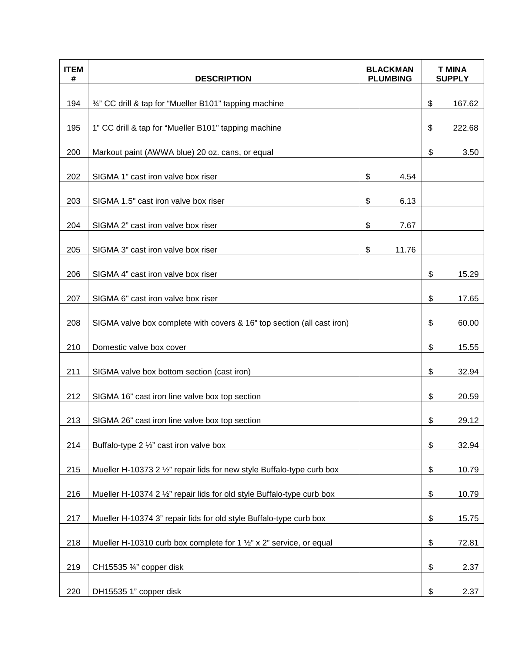| <b>ITEM</b><br># | <b>DESCRIPTION</b>                                                     | <b>BLACKMAN</b><br><b>PLUMBING</b> | <b>T MINA</b><br><b>SUPPLY</b> |        |
|------------------|------------------------------------------------------------------------|------------------------------------|--------------------------------|--------|
| 194              | 3/4" CC drill & tap for "Mueller B101" tapping machine                 |                                    | \$                             | 167.62 |
| 195              | 1" CC drill & tap for "Mueller B101" tapping machine                   |                                    | \$                             | 222.68 |
| 200              | Markout paint (AWWA blue) 20 oz. cans, or equal                        |                                    | \$                             | 3.50   |
| 202              | SIGMA 1" cast iron valve box riser                                     | \$<br>4.54                         |                                |        |
| 203              | SIGMA 1.5" cast iron valve box riser                                   | \$<br>6.13                         |                                |        |
| 204              | SIGMA 2" cast iron valve box riser                                     | \$<br>7.67                         |                                |        |
| 205              | SIGMA 3" cast iron valve box riser                                     | \$<br>11.76                        |                                |        |
| 206              | SIGMA 4" cast iron valve box riser                                     |                                    | \$                             | 15.29  |
| 207              | SIGMA 6" cast iron valve box riser                                     |                                    | \$                             | 17.65  |
| 208              | SIGMA valve box complete with covers & 16" top section (all cast iron) |                                    | \$                             | 60.00  |
| 210              | Domestic valve box cover                                               |                                    | \$                             | 15.55  |
| 211              | SIGMA valve box bottom section (cast iron)                             |                                    | \$                             | 32.94  |
| 212              | SIGMA 16" cast iron line valve box top section                         |                                    | \$                             | 20.59  |
| 213              | SIGMA 26" cast iron line valve box top section                         |                                    | \$                             | 29.12  |
| 214              | Buffalo-type 2 1/2" cast iron valve box                                |                                    | \$                             | 32.94  |
| 215              | Mueller H-10373 2 1/2" repair lids for new style Buffalo-type curb box |                                    | \$                             | 10.79  |
| 216              | Mueller H-10374 2 1/2" repair lids for old style Buffalo-type curb box |                                    | \$                             | 10.79  |
| 217              | Mueller H-10374 3" repair lids for old style Buffalo-type curb box     |                                    | \$                             | 15.75  |
| 218              | Mueller H-10310 curb box complete for 1 1/2" x 2" service, or equal    |                                    | \$                             | 72.81  |
| 219              | CH15535 3/4" copper disk                                               |                                    | \$                             | 2.37   |
| 220              | DH15535 1" copper disk                                                 |                                    | \$                             | 2.37   |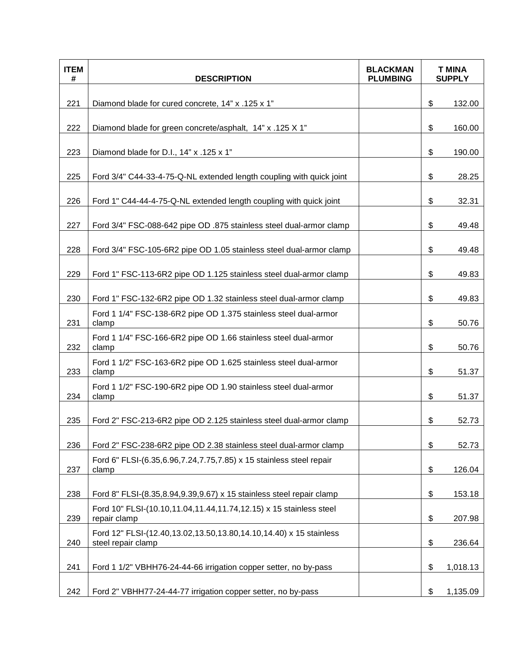| <b>ITEM</b><br># | <b>DESCRIPTION</b>                                                                       | <b>BLACKMAN</b><br><b>PLUMBING</b> | <b>T MINA</b><br><b>SUPPLY</b> |          |
|------------------|------------------------------------------------------------------------------------------|------------------------------------|--------------------------------|----------|
| 221              | Diamond blade for cured concrete, 14" x .125 x 1"                                        |                                    | \$                             | 132.00   |
| 222              | Diamond blade for green concrete/asphalt, 14" x .125 X 1"                                |                                    | \$                             | 160.00   |
| 223              | Diamond blade for D.I., 14" x .125 x 1"                                                  |                                    | \$                             | 190.00   |
| 225              | Ford 3/4" C44-33-4-75-Q-NL extended length coupling with quick joint                     |                                    | \$                             | 28.25    |
| 226              | Ford 1" C44-44-4-75-Q-NL extended length coupling with quick joint                       |                                    | \$                             | 32.31    |
| 227              | Ford 3/4" FSC-088-642 pipe OD .875 stainless steel dual-armor clamp                      |                                    | \$                             | 49.48    |
| 228              | Ford 3/4" FSC-105-6R2 pipe OD 1.05 stainless steel dual-armor clamp                      |                                    | \$                             | 49.48    |
| 229              | Ford 1" FSC-113-6R2 pipe OD 1.125 stainless steel dual-armor clamp                       |                                    | \$                             | 49.83    |
| 230              | Ford 1" FSC-132-6R2 pipe OD 1.32 stainless steel dual-armor clamp                        |                                    | \$                             | 49.83    |
| 231              | Ford 1 1/4" FSC-138-6R2 pipe OD 1.375 stainless steel dual-armor<br>clamp                |                                    | \$                             | 50.76    |
| 232              | Ford 1 1/4" FSC-166-6R2 pipe OD 1.66 stainless steel dual-armor<br>clamp                 |                                    | \$                             | 50.76    |
| 233              | Ford 1 1/2" FSC-163-6R2 pipe OD 1.625 stainless steel dual-armor<br>clamp                |                                    | \$                             | 51.37    |
| 234              | Ford 1 1/2" FSC-190-6R2 pipe OD 1.90 stainless steel dual-armor<br>clamp                 |                                    | \$                             | 51.37    |
| 235              | Ford 2" FSC-213-6R2 pipe OD 2.125 stainless steel dual-armor clamp                       |                                    | \$                             | 52.73    |
| 236              | Ford 2" FSC-238-6R2 pipe OD 2.38 stainless steel dual-armor clamp                        |                                    | \$                             | 52.73    |
| 237              | Ford 6" FLSI-(6.35,6.96,7.24,7.75,7.85) x 15 stainless steel repair<br>clamp             |                                    | \$                             | 126.04   |
| 238              | Ford 8" FLSI-(8.35,8.94,9.39,9.67) x 15 stainless steel repair clamp                     |                                    | \$                             | 153.18   |
| 239              | Ford 10" FLSI-(10.10,11.04,11.44,11.74,12.15) x 15 stainless steel<br>repair clamp       |                                    | \$                             | 207.98   |
| 240              | Ford 12" FLSI-(12.40,13.02,13.50,13.80,14.10,14.40) x 15 stainless<br>steel repair clamp |                                    | \$                             | 236.64   |
| 241              | Ford 1 1/2" VBHH76-24-44-66 irrigation copper setter, no by-pass                         |                                    | \$                             | 1,018.13 |
| 242              | Ford 2" VBHH77-24-44-77 irrigation copper setter, no by-pass                             |                                    | \$                             | 1,135.09 |